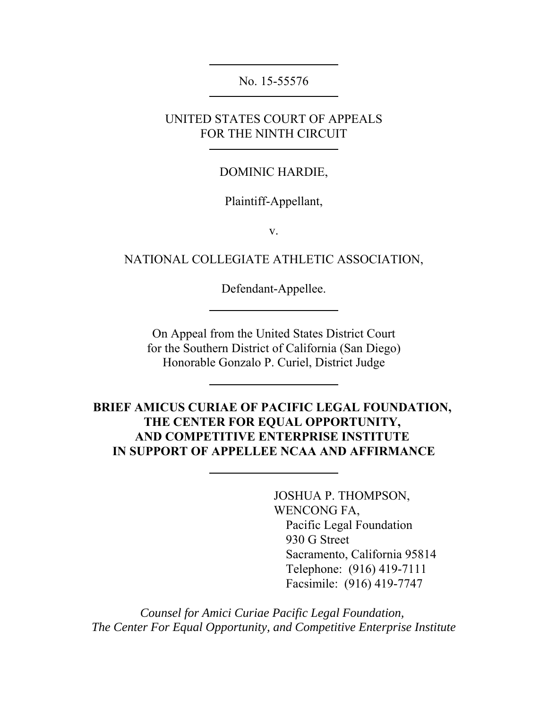No. 15-55576

UNITED STATES COURT OF APPEALS FOR THE NINTH CIRCUIT

DOMINIC HARDIE,

Plaintiff-Appellant,

v.

NATIONAL COLLEGIATE ATHLETIC ASSOCIATION,

Defendant-Appellee.

On Appeal from the United States District Court for the Southern District of California (San Diego) Honorable Gonzalo P. Curiel, District Judge

**BRIEF AMICUS CURIAE OF PACIFIC LEGAL FOUNDATION, THE CENTER FOR EQUAL OPPORTUNITY, AND COMPETITIVE ENTERPRISE INSTITUTE IN SUPPORT OF APPELLEE NCAA AND AFFIRMANCE**

> JOSHUA P. THOMPSON, WENCONG FA, Pacific Legal Foundation 930 G Street Sacramento, California 95814 Telephone: (916) 419-7111 Facsimile: (916) 419-7747

*Counsel for Amici Curiae Pacific Legal Foundation, The Center For Equal Opportunity, and Competitive Enterprise Institute*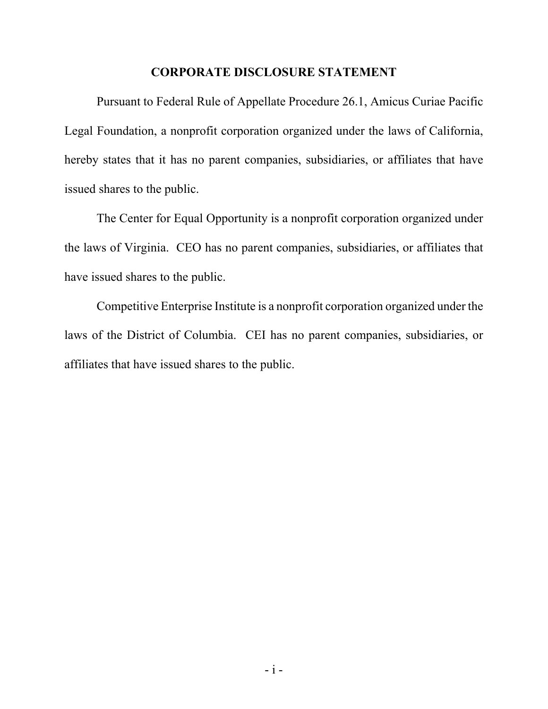#### **CORPORATE DISCLOSURE STATEMENT**

Pursuant to Federal Rule of Appellate Procedure 26.1, Amicus Curiae Pacific Legal Foundation, a nonprofit corporation organized under the laws of California, hereby states that it has no parent companies, subsidiaries, or affiliates that have issued shares to the public.

The Center for Equal Opportunity is a nonprofit corporation organized under the laws of Virginia. CEO has no parent companies, subsidiaries, or affiliates that have issued shares to the public.

Competitive Enterprise Institute is a nonprofit corporation organized under the laws of the District of Columbia. CEI has no parent companies, subsidiaries, or affiliates that have issued shares to the public.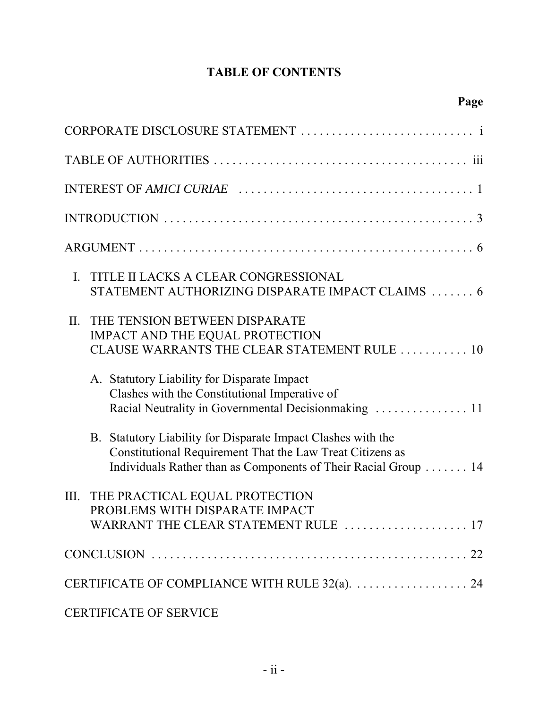## **TABLE OF CONTENTS**

| TITLE II LACKS A CLEAR CONGRESSIONAL<br>Ι.<br>STATEMENT AUTHORIZING DISPARATE IMPACT CLAIMS  6                                                                                               |
|----------------------------------------------------------------------------------------------------------------------------------------------------------------------------------------------|
| THE TENSION BETWEEN DISPARATE<br>II.<br>IMPACT AND THE EQUAL PROTECTION<br>CLAUSE WARRANTS THE CLEAR STATEMENT RULE  10                                                                      |
| A. Statutory Liability for Disparate Impact<br>Clashes with the Constitutional Imperative of<br>Racial Neutrality in Governmental Decisionmaking  11                                         |
| B. Statutory Liability for Disparate Impact Clashes with the<br>Constitutional Requirement That the Law Treat Citizens as<br>Individuals Rather than as Components of Their Racial Group  14 |
| III. THE PRACTICAL EQUAL PROTECTION<br>PROBLEMS WITH DISPARATE IMPACT<br>WARRANT THE CLEAR STATEMENT RULE  17                                                                                |
|                                                                                                                                                                                              |
|                                                                                                                                                                                              |
| CERTIFICATE OF SERVICE                                                                                                                                                                       |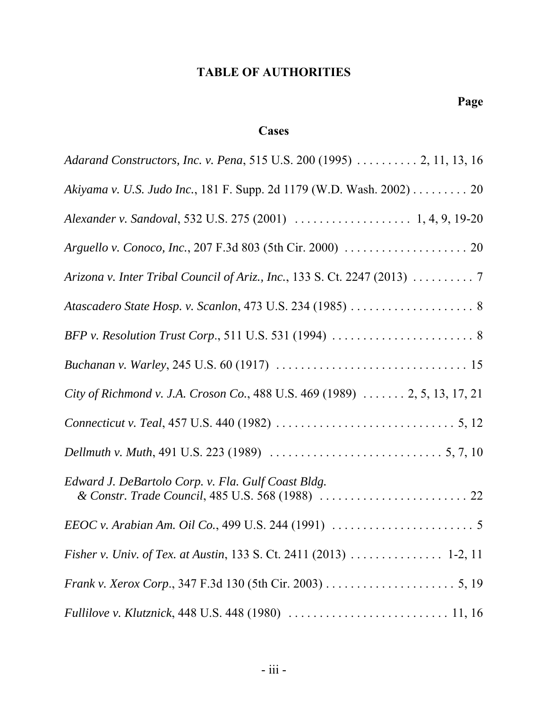## **TABLE OF AUTHORITIES**

## **Cases**

| Adarand Constructors, Inc. v. Pena, 515 U.S. 200 (1995)  2, 11, 13, 16     |
|----------------------------------------------------------------------------|
| Akiyama v. U.S. Judo Inc., 181 F. Supp. 2d 1179 (W.D. Wash. 2002) 20       |
|                                                                            |
|                                                                            |
|                                                                            |
| Atascadero State Hosp. v. Scanlon, 473 U.S. 234 (1985)  8                  |
|                                                                            |
|                                                                            |
| City of Richmond v. J.A. Croson Co., 488 U.S. 469 (1989)  2, 5, 13, 17, 21 |
|                                                                            |
|                                                                            |
| Edward J. DeBartolo Corp. v. Fla. Gulf Coast Bldg.                         |
|                                                                            |
|                                                                            |
|                                                                            |
|                                                                            |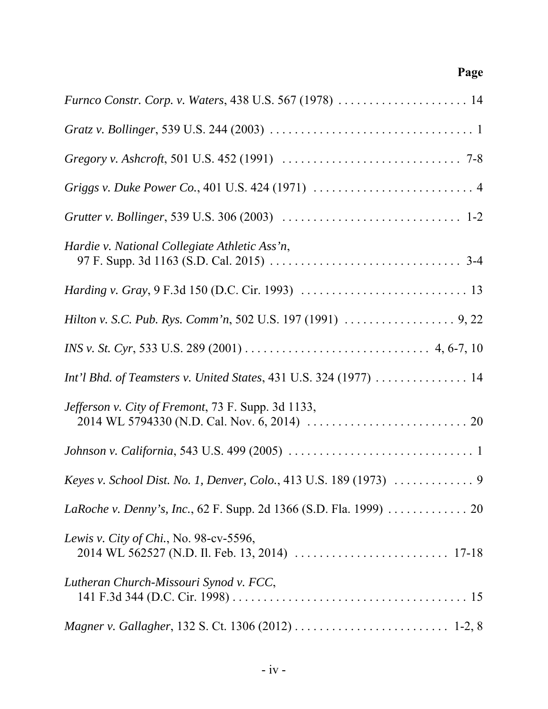| Furnco Constr. Corp. v. Waters, 438 U.S. 567 (1978)  14           |
|-------------------------------------------------------------------|
|                                                                   |
|                                                                   |
|                                                                   |
|                                                                   |
| Hardie v. National Collegiate Athletic Ass'n,                     |
|                                                                   |
|                                                                   |
|                                                                   |
| Int'l Bhd. of Teamsters v. United States, 431 U.S. 324 (1977)  14 |
| Jefferson v. City of Fremont, 73 F. Supp. 3d 1133,                |
|                                                                   |
|                                                                   |
| LaRoche v. Denny's, Inc., 62 F. Supp. 2d 1366 (S.D. Fla. 1999) 20 |
| Lewis v. City of Chi., No. 98-cv-5596,                            |
| Lutheran Church-Missouri Synod v. FCC,                            |
|                                                                   |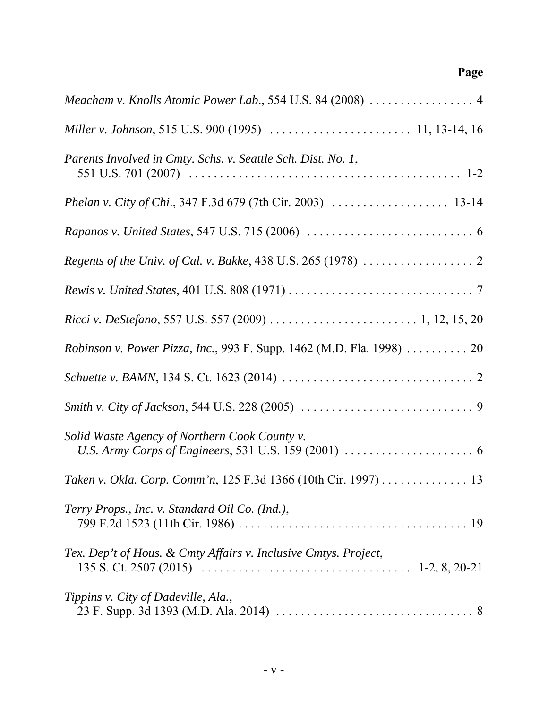| Meacham v. Knolls Atomic Power Lab., 554 U.S. 84 (2008)  4           |
|----------------------------------------------------------------------|
|                                                                      |
| Parents Involved in Cmty. Schs. v. Seattle Sch. Dist. No. 1,         |
|                                                                      |
|                                                                      |
|                                                                      |
|                                                                      |
|                                                                      |
| Robinson v. Power Pizza, Inc., 993 F. Supp. 1462 (M.D. Fla. 1998) 20 |
|                                                                      |
|                                                                      |
| Solid Waste Agency of Northern Cook County v.                        |
| Taken v. Okla. Corp. Comm'n, 125 F.3d 1366 (10th Cir. 1997) 13       |
| Terry Props., Inc. v. Standard Oil Co. (Ind.),                       |
| Tex. Dep't of Hous. & Cmty Affairs v. Inclusive Cmtys. Project,      |
| Tippins v. City of Dadeville, Ala.,                                  |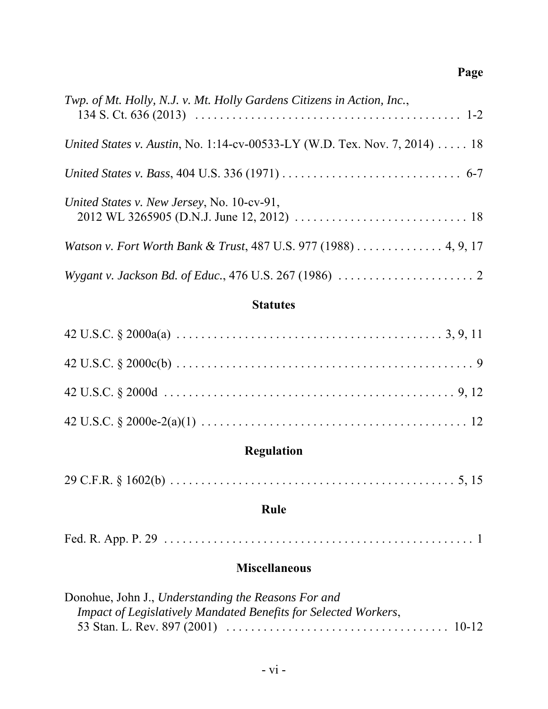| Twp. of Mt. Holly, N.J. v. Mt. Holly Gardens Citizens in Action, Inc.,                                                                                          |
|-----------------------------------------------------------------------------------------------------------------------------------------------------------------|
| United States v. Austin, No. 1:14-cv-00533-LY (W.D. Tex. Nov. 7, 2014)  18                                                                                      |
|                                                                                                                                                                 |
| United States v. New Jersey, No. 10-cv-91,<br>2012 WL 3265905 (D.N.J. June 12, 2012) $\ldots \ldots \ldots \ldots \ldots \ldots \ldots \ldots \ldots \ldots$ 18 |
| Watson v. Fort Worth Bank & Trust, 487 U.S. 977 (1988) 4, 9, 17                                                                                                 |
|                                                                                                                                                                 |

## **Statutes**

# **Regulation**

|--|--|

## **Rule**

|--|--|--|

## **Miscellaneous**

| Donohue, John J., Understanding the Reasons For and             |  |
|-----------------------------------------------------------------|--|
| Impact of Legislatively Mandated Benefits for Selected Workers, |  |
|                                                                 |  |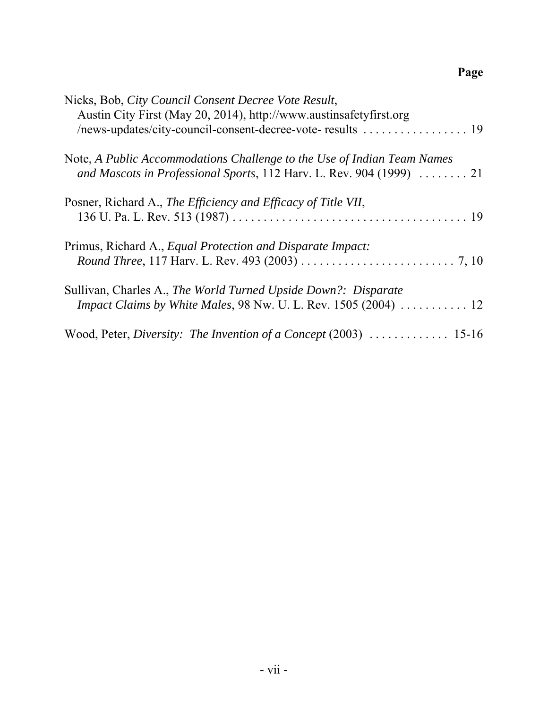| Nicks, Bob, City Council Consent Decree Vote Result,<br>Austin City First (May 20, 2014), http://www.austinsafetyfirst.org                                     |
|----------------------------------------------------------------------------------------------------------------------------------------------------------------|
| Note, A Public Accommodations Challenge to the Use of Indian Team Names<br>and Mascots in Professional Sports, 112 Harv. L. Rev. 904 (1999)  21                |
| Posner, Richard A., The Efficiency and Efficacy of Title VII,                                                                                                  |
| Primus, Richard A., Equal Protection and Disparate Impact:                                                                                                     |
| Sullivan, Charles A., The World Turned Upside Down?: Disparate<br><i>Impact Claims by White Males, 98 Nw. U. L. Rev. 1505 (2004)</i> $\ldots \ldots \ldots 12$ |
|                                                                                                                                                                |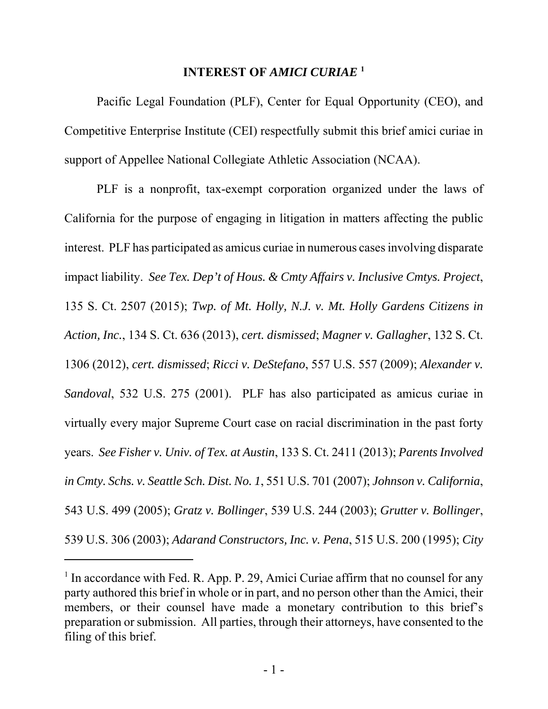## **INTEREST OF** *AMICI CURIAE* **<sup>1</sup>**

Pacific Legal Foundation (PLF), Center for Equal Opportunity (CEO), and Competitive Enterprise Institute (CEI) respectfully submit this brief amici curiae in support of Appellee National Collegiate Athletic Association (NCAA).

PLF is a nonprofit, tax-exempt corporation organized under the laws of California for the purpose of engaging in litigation in matters affecting the public interest. PLF has participated as amicus curiae in numerous cases involving disparate impact liability. *See Tex. Dep't of Hous. & Cmty Affairs v. Inclusive Cmtys. Project*, 135 S. Ct. 2507 (2015); *Twp. of Mt. Holly, N.J. v. Mt. Holly Gardens Citizens in Action, Inc.*, 134 S. Ct. 636 (2013), *cert. dismissed*; *Magner v. Gallagher*, 132 S. Ct. 1306 (2012), *cert. dismissed*; *Ricci v. DeStefano*, 557 U.S. 557 (2009); *Alexander v. Sandoval*, 532 U.S. 275 (2001). PLF has also participated as amicus curiae in virtually every major Supreme Court case on racial discrimination in the past forty years. *See Fisher v. Univ. of Tex. at Austin*, 133 S. Ct. 2411 (2013); *Parents Involved in Cmty. Schs. v. Seattle Sch. Dist. No. 1*, 551 U.S. 701 (2007); *Johnson v. California*, 543 U.S. 499 (2005); *Gratz v. Bollinger*, 539 U.S. 244 (2003); *Grutter v. Bollinger*, 539 U.S. 306 (2003); *Adarand Constructors, Inc. v. Pena*, 515 U.S. 200 (1995); *City*

<sup>&</sup>lt;sup>1</sup> In accordance with Fed. R. App. P. 29, Amici Curiae affirm that no counsel for any party authored this brief in whole or in part, and no person other than the Amici, their members, or their counsel have made a monetary contribution to this brief's preparation or submission. All parties, through their attorneys, have consented to the filing of this brief.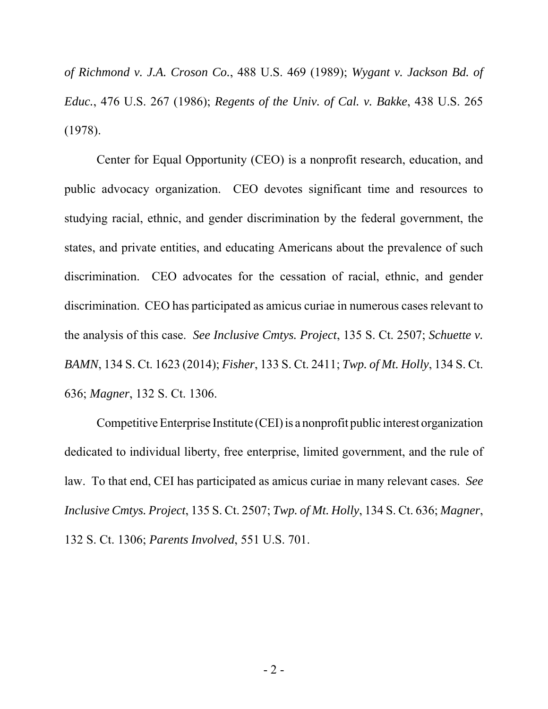*of Richmond v. J.A. Croson Co.*, 488 U.S. 469 (1989); *Wygant v. Jackson Bd. of Educ.*, 476 U.S. 267 (1986); *Regents of the Univ. of Cal. v. Bakke*, 438 U.S. 265 (1978).

Center for Equal Opportunity (CEO) is a nonprofit research, education, and public advocacy organization. CEO devotes significant time and resources to studying racial, ethnic, and gender discrimination by the federal government, the states, and private entities, and educating Americans about the prevalence of such discrimination. CEO advocates for the cessation of racial, ethnic, and gender discrimination. CEO has participated as amicus curiae in numerous cases relevant to the analysis of this case. *See Inclusive Cmtys. Project*, 135 S. Ct. 2507; *Schuette v. BAMN*, 134 S. Ct. 1623 (2014); *Fisher*, 133 S. Ct. 2411; *Twp. of Mt. Holly*, 134 S. Ct. 636; *Magner*, 132 S. Ct. 1306.

Competitive Enterprise Institute (CEI) is a nonprofit public interest organization dedicated to individual liberty, free enterprise, limited government, and the rule of law. To that end, CEI has participated as amicus curiae in many relevant cases. *See Inclusive Cmtys. Project*, 135 S. Ct. 2507; *Twp. of Mt. Holly*, 134 S. Ct. 636; *Magner*, 132 S. Ct. 1306; *Parents Involved*, 551 U.S. 701.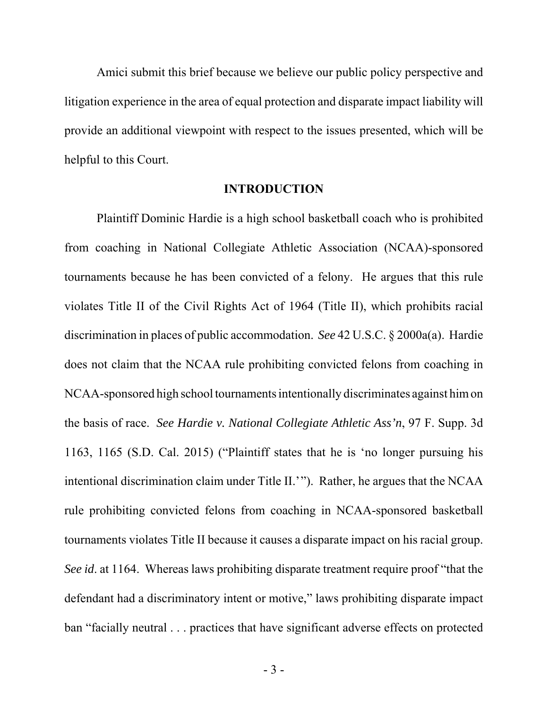Amici submit this brief because we believe our public policy perspective and litigation experience in the area of equal protection and disparate impact liability will provide an additional viewpoint with respect to the issues presented, which will be helpful to this Court.

#### **INTRODUCTION**

Plaintiff Dominic Hardie is a high school basketball coach who is prohibited from coaching in National Collegiate Athletic Association (NCAA)-sponsored tournaments because he has been convicted of a felony. He argues that this rule violates Title II of the Civil Rights Act of 1964 (Title II), which prohibits racial discrimination in places of public accommodation. *See* 42 U.S.C. § 2000a(a). Hardie does not claim that the NCAA rule prohibiting convicted felons from coaching in NCAA-sponsored high school tournaments intentionally discriminates against him on the basis of race. *See Hardie v. National Collegiate Athletic Ass'n*, 97 F. Supp. 3d 1163, 1165 (S.D. Cal. 2015) ("Plaintiff states that he is 'no longer pursuing his intentional discrimination claim under Title II.'"). Rather, he argues that the NCAA rule prohibiting convicted felons from coaching in NCAA-sponsored basketball tournaments violates Title II because it causes a disparate impact on his racial group. *See id*. at 1164. Whereas laws prohibiting disparate treatment require proof "that the defendant had a discriminatory intent or motive," laws prohibiting disparate impact ban "facially neutral . . . practices that have significant adverse effects on protected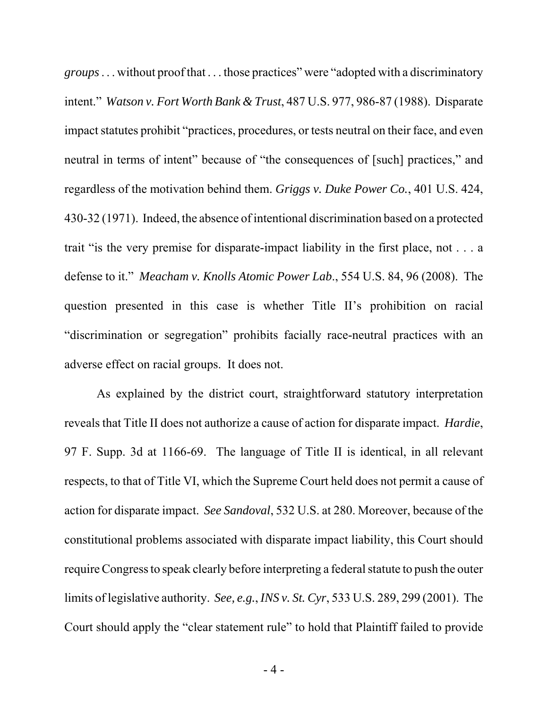*groups* . . . without proof that . . . those practices" were "adopted with a discriminatory intent." *Watson v. Fort Worth Bank & Trust*, 487 U.S. 977, 986-87 (1988). Disparate impact statutes prohibit "practices, procedures, or tests neutral on their face, and even neutral in terms of intent" because of "the consequences of [such] practices," and regardless of the motivation behind them. *Griggs v. Duke Power Co.*, 401 U.S. 424, 430-32 (1971). Indeed, the absence of intentional discrimination based on a protected trait "is the very premise for disparate-impact liability in the first place, not . . . a defense to it." *Meacham v. Knolls Atomic Power Lab*., 554 U.S. 84, 96 (2008). The question presented in this case is whether Title II's prohibition on racial "discrimination or segregation" prohibits facially race-neutral practices with an adverse effect on racial groups. It does not.

As explained by the district court, straightforward statutory interpretation reveals that Title II does not authorize a cause of action for disparate impact. *Hardie*, 97 F. Supp. 3d at 1166-69. The language of Title II is identical, in all relevant respects, to that of Title VI, which the Supreme Court held does not permit a cause of action for disparate impact. *See Sandoval*, 532 U.S. at 280. Moreover, because of the constitutional problems associated with disparate impact liability, this Court should require Congress to speak clearly before interpreting a federal statute to push the outer limits of legislative authority. *See, e.g.*, *INS v. St. Cyr*, 533 U.S. 289, 299 (2001). The Court should apply the "clear statement rule" to hold that Plaintiff failed to provide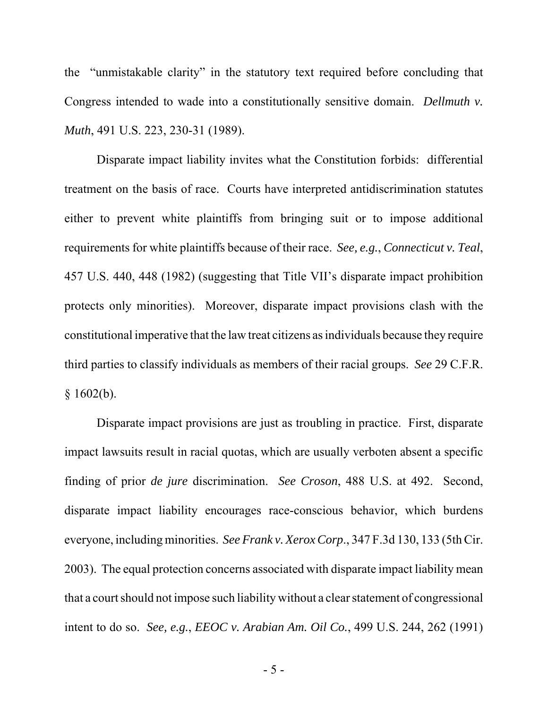the "unmistakable clarity" in the statutory text required before concluding that Congress intended to wade into a constitutionally sensitive domain. *Dellmuth v. Muth*, 491 U.S. 223, 230-31 (1989).

Disparate impact liability invites what the Constitution forbids: differential treatment on the basis of race. Courts have interpreted antidiscrimination statutes either to prevent white plaintiffs from bringing suit or to impose additional requirements for white plaintiffs because of their race. *See, e.g.*, *Connecticut v. Teal*, 457 U.S. 440, 448 (1982) (suggesting that Title VII's disparate impact prohibition protects only minorities). Moreover, disparate impact provisions clash with the constitutional imperative that the law treat citizens as individuals because they require third parties to classify individuals as members of their racial groups. *See* 29 C.F.R.  $$1602(b).$ 

Disparate impact provisions are just as troubling in practice. First, disparate impact lawsuits result in racial quotas, which are usually verboten absent a specific finding of prior *de jure* discrimination. *See Croson*, 488 U.S. at 492. Second, disparate impact liability encourages race-conscious behavior, which burdens everyone, including minorities. *See Frank v. Xerox Corp*., 347 F.3d 130, 133 (5th Cir. 2003). The equal protection concerns associated with disparate impact liability mean that a court should not impose such liability without a clear statement of congressional intent to do so. *See, e.g.*, *EEOC v. Arabian Am. Oil Co.*, 499 U.S. 244, 262 (1991)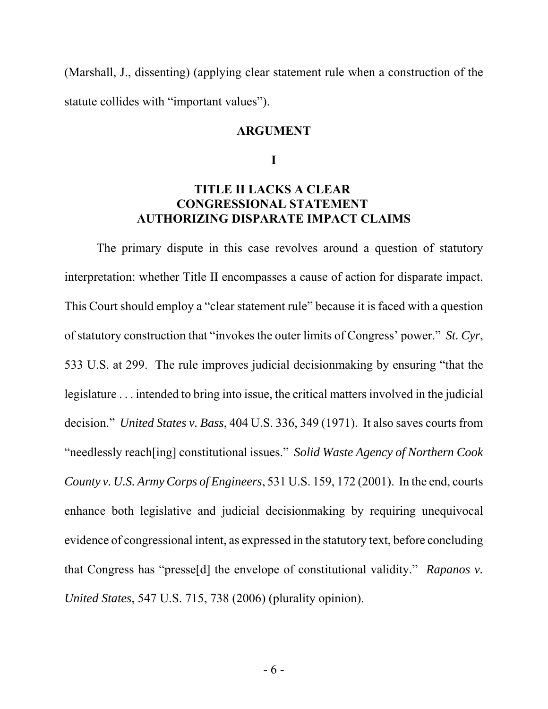(Marshall, J., dissenting) (applying clear statement rule when a construction of the statute collides with "important values").

#### **ARGUMENT**

**I**

### **TITLE II LACKS A CLEAR CONGRESSIONAL STATEMENT AUTHORIZING DISPARATE IMPACT CLAIMS**

The primary dispute in this case revolves around a question of statutory interpretation: whether Title II encompasses a cause of action for disparate impact. This Court should employ a "clear statement rule" because it is faced with a question of statutory construction that "invokes the outer limits of Congress' power." *St. Cyr*, 533 U.S. at 299. The rule improves judicial decisionmaking by ensuring "that the legislature . . . intended to bring into issue, the critical matters involved in the judicial decision." *United States v. Bass*, 404 U.S. 336, 349 (1971). It also saves courts from "needlessly reach[ing] constitutional issues." *Solid Waste Agency of Northern Cook County v. U.S. Army Corps of Engineers*, 531 U.S. 159, 172 (2001). In the end, courts enhance both legislative and judicial decisionmaking by requiring unequivocal evidence of congressional intent, as expressed in the statutory text, before concluding that Congress has "presse[d] the envelope of constitutional validity." *Rapanos v. United States*, 547 U.S. 715, 738 (2006) (plurality opinion).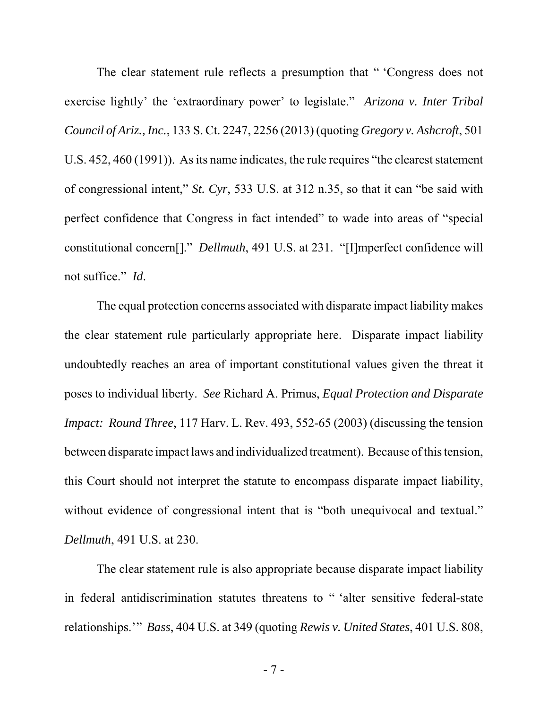The clear statement rule reflects a presumption that " 'Congress does not exercise lightly' the 'extraordinary power' to legislate." *Arizona v. Inter Tribal Council of Ariz., Inc.*, 133 S. Ct. 2247, 2256 (2013) (quoting *Gregory v. Ashcroft*, 501 U.S. 452, 460 (1991)). As its name indicates, the rule requires "the clearest statement of congressional intent," *St. Cyr*, 533 U.S. at 312 n.35, so that it can "be said with perfect confidence that Congress in fact intended" to wade into areas of "special constitutional concern[]." *Dellmuth*, 491 U.S. at 231. "[I]mperfect confidence will not suffice." *Id*.

The equal protection concerns associated with disparate impact liability makes the clear statement rule particularly appropriate here. Disparate impact liability undoubtedly reaches an area of important constitutional values given the threat it poses to individual liberty. *See* Richard A. Primus, *Equal Protection and Disparate Impact: Round Three*, 117 Harv. L. Rev. 493, 552-65 (2003) (discussing the tension between disparate impact laws and individualized treatment). Because of this tension, this Court should not interpret the statute to encompass disparate impact liability, without evidence of congressional intent that is "both unequivocal and textual." *Dellmuth*, 491 U.S. at 230.

The clear statement rule is also appropriate because disparate impact liability in federal antidiscrimination statutes threatens to " 'alter sensitive federal-state relationships.'" *Bass*, 404 U.S. at 349 (quoting *Rewis v. United States*, 401 U.S. 808,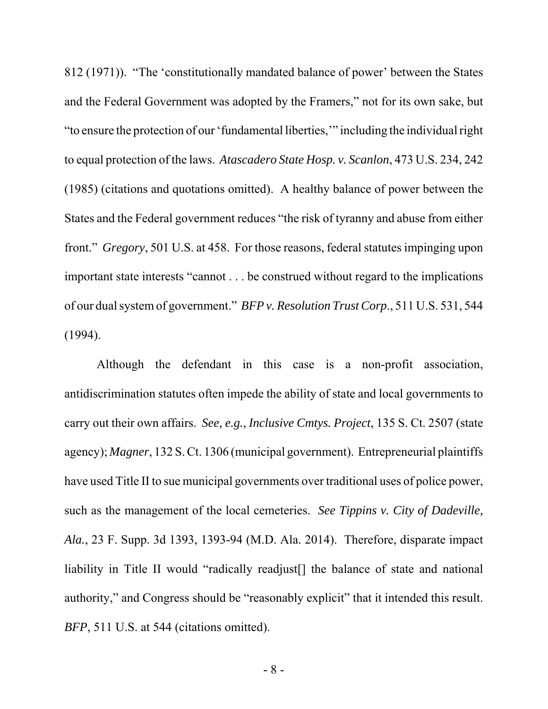812 (1971)). "The 'constitutionally mandated balance of power' between the States and the Federal Government was adopted by the Framers," not for its own sake, but "to ensure the protection of our 'fundamental liberties,'" including the individual right to equal protection of the laws. *Atascadero State Hosp. v. Scanlon*, 473 U.S. 234, 242 (1985) (citations and quotations omitted). A healthy balance of power between the States and the Federal government reduces "the risk of tyranny and abuse from either front." *Gregory*, 501 U.S. at 458. For those reasons, federal statutes impinging upon important state interests "cannot . . . be construed without regard to the implications of our dual system of government." *BFP v. Resolution Trust Corp*., 511 U.S. 531, 544 (1994).

Although the defendant in this case is a non-profit association, antidiscrimination statutes often impede the ability of state and local governments to carry out their own affairs. *See, e.g.*, *Inclusive Cmtys. Project*, 135 S. Ct. 2507 (state agency); *Magner*, 132 S. Ct. 1306 (municipal government). Entrepreneurial plaintiffs have used Title II to sue municipal governments over traditional uses of police power, such as the management of the local cemeteries. *See Tippins v. City of Dadeville, Ala.*, 23 F. Supp. 3d 1393, 1393-94 (M.D. Ala. 2014). Therefore, disparate impact liability in Title II would "radically readjust<sup>[]</sup> the balance of state and national authority," and Congress should be "reasonably explicit" that it intended this result. *BFP*, 511 U.S. at 544 (citations omitted).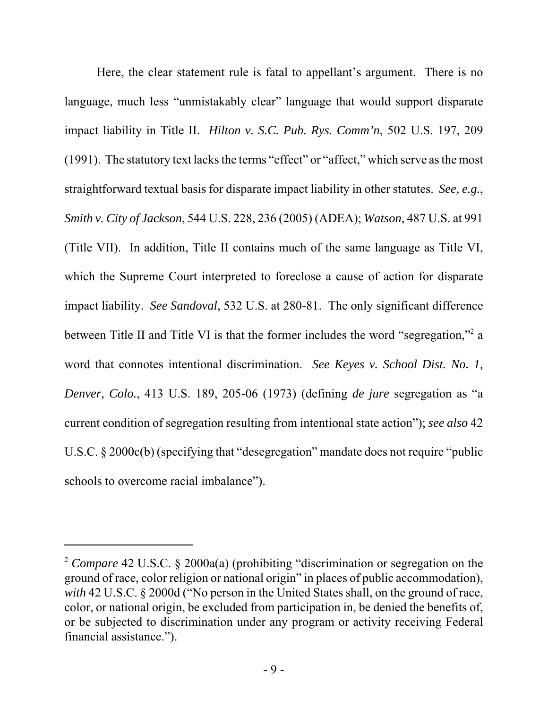Here, the clear statement rule is fatal to appellant's argument. There is no language, much less "unmistakably clear" language that would support disparate impact liability in Title II. *Hilton v. S.C. Pub. Rys. Comm'n*, 502 U.S. 197, 209 (1991). The statutory text lacks the terms "effect" or "affect," which serve as the most straightforward textual basis for disparate impact liability in other statutes. *See, e.g.*, *Smith v. City of Jackson*, 544 U.S. 228, 236 (2005) (ADEA); *Watson*, 487 U.S. at 991 (Title VII). In addition, Title II contains much of the same language as Title VI, which the Supreme Court interpreted to foreclose a cause of action for disparate impact liability. *See Sandoval*, 532 U.S. at 280-81. The only significant difference between Title II and Title VI is that the former includes the word "segregation,"<sup>2</sup> a word that connotes intentional discrimination. *See Keyes v. School Dist. No. 1, Denver, Colo.*, 413 U.S. 189, 205-06 (1973) (defining *de jure* segregation as "a current condition of segregation resulting from intentional state action"); *see also* 42 U.S.C. § 2000c(b) (specifying that "desegregation" mandate does not require "public schools to overcome racial imbalance").

<sup>2</sup> *Compare* 42 U.S.C. § 2000a(a) (prohibiting "discrimination or segregation on the ground of race, color religion or national origin" in places of public accommodation), *with* 42 U.S.C. § 2000d ("No person in the United States shall, on the ground of race, color, or national origin, be excluded from participation in, be denied the benefits of, or be subjected to discrimination under any program or activity receiving Federal financial assistance.").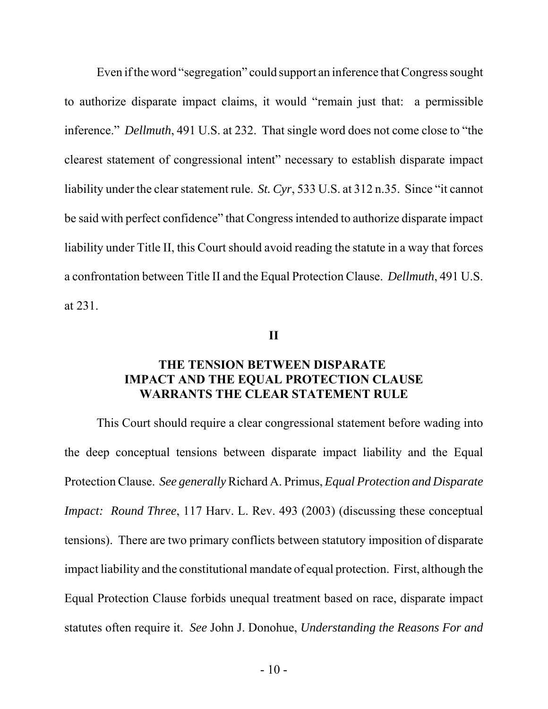Even if the word "segregation" could support an inference that Congress sought to authorize disparate impact claims, it would "remain just that: a permissible inference." *Dellmuth*, 491 U.S. at 232. That single word does not come close to "the clearest statement of congressional intent" necessary to establish disparate impact liability under the clear statement rule. *St. Cyr*, 533 U.S. at 312 n.35. Since "it cannot be said with perfect confidence" that Congress intended to authorize disparate impact liability under Title II, this Court should avoid reading the statute in a way that forces a confrontation between Title II and the Equal Protection Clause. *Dellmuth*, 491 U.S. at 231.

**II**

### **THE TENSION BETWEEN DISPARATE IMPACT AND THE EQUAL PROTECTION CLAUSE WARRANTS THE CLEAR STATEMENT RULE**

This Court should require a clear congressional statement before wading into the deep conceptual tensions between disparate impact liability and the Equal Protection Clause. *See generally* Richard A. Primus, *Equal Protection and Disparate Impact: Round Three, 117 Harv. L. Rev. 493 (2003) (discussing these conceptual* tensions). There are two primary conflicts between statutory imposition of disparate impact liability and the constitutional mandate of equal protection. First, although the Equal Protection Clause forbids unequal treatment based on race, disparate impact statutes often require it. *See* John J. Donohue, *Understanding the Reasons For and*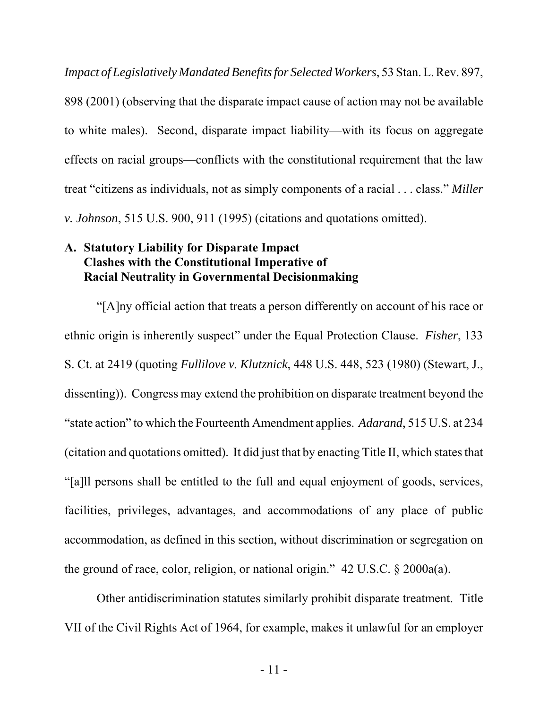*Impact of Legislatively Mandated Benefits for Selected Workers*, 53 Stan. L. Rev. 897, 898 (2001) (observing that the disparate impact cause of action may not be available to white males). Second, disparate impact liability—with its focus on aggregate effects on racial groups—conflicts with the constitutional requirement that the law treat "citizens as individuals, not as simply components of a racial . . . class." *Miller v. Johnson*, 515 U.S. 900, 911 (1995) (citations and quotations omitted).

## **A. Statutory Liability for Disparate Impact Clashes with the Constitutional Imperative of Racial Neutrality in Governmental Decisionmaking**

"[A]ny official action that treats a person differently on account of his race or ethnic origin is inherently suspect" under the Equal Protection Clause. *Fisher*, 133 S. Ct. at 2419 (quoting *Fullilove v. Klutznick*, 448 U.S. 448, 523 (1980) (Stewart, J., dissenting)). Congress may extend the prohibition on disparate treatment beyond the "state action" to which the Fourteenth Amendment applies. *Adarand*, 515 U.S. at 234 (citation and quotations omitted). It did just that by enacting Title II, which states that "[a]ll persons shall be entitled to the full and equal enjoyment of goods, services, facilities, privileges, advantages, and accommodations of any place of public accommodation, as defined in this section, without discrimination or segregation on the ground of race, color, religion, or national origin." 42 U.S.C. § 2000a(a).

Other antidiscrimination statutes similarly prohibit disparate treatment. Title VII of the Civil Rights Act of 1964, for example, makes it unlawful for an employer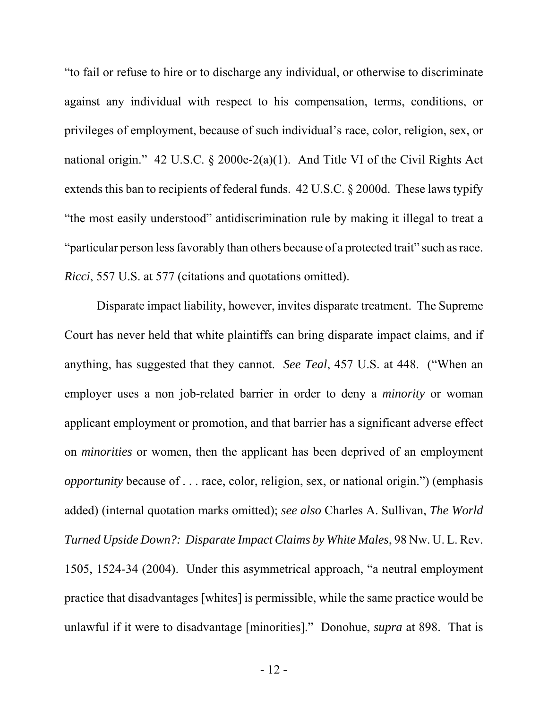"to fail or refuse to hire or to discharge any individual, or otherwise to discriminate against any individual with respect to his compensation, terms, conditions, or privileges of employment, because of such individual's race, color, religion, sex, or national origin." 42 U.S.C. § 2000e-2(a)(1). And Title VI of the Civil Rights Act extends this ban to recipients of federal funds. 42 U.S.C. § 2000d. These laws typify "the most easily understood" antidiscrimination rule by making it illegal to treat a "particular person less favorably than others because of a protected trait" such as race. *Ricci*, 557 U.S. at 577 (citations and quotations omitted).

Disparate impact liability, however, invites disparate treatment. The Supreme Court has never held that white plaintiffs can bring disparate impact claims, and if anything, has suggested that they cannot. *See Teal*, 457 U.S. at 448. ("When an employer uses a non job-related barrier in order to deny a *minority* or woman applicant employment or promotion, and that barrier has a significant adverse effect on *minorities* or women, then the applicant has been deprived of an employment *opportunity* because of . . . race, color, religion, sex, or national origin.") (emphasis added) (internal quotation marks omitted); *see also* Charles A. Sullivan, *The World Turned Upside Down?: Disparate Impact Claims by White Males*, 98 Nw. U. L. Rev. 1505, 1524-34 (2004). Under this asymmetrical approach, "a neutral employment practice that disadvantages [whites] is permissible, while the same practice would be unlawful if it were to disadvantage [minorities]." Donohue, *supra* at 898. That is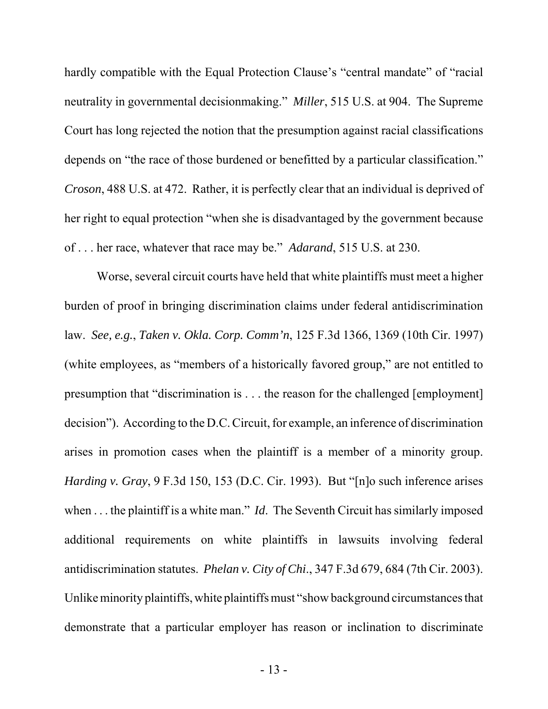hardly compatible with the Equal Protection Clause's "central mandate" of "racial neutrality in governmental decisionmaking." *Miller*, 515 U.S. at 904. The Supreme Court has long rejected the notion that the presumption against racial classifications depends on "the race of those burdened or benefitted by a particular classification." *Croson*, 488 U.S. at 472. Rather, it is perfectly clear that an individual is deprived of her right to equal protection "when she is disadvantaged by the government because of . . . her race, whatever that race may be." *Adarand*, 515 U.S. at 230.

Worse, several circuit courts have held that white plaintiffs must meet a higher burden of proof in bringing discrimination claims under federal antidiscrimination law. *See, e.g.*, *Taken v. Okla. Corp. Comm'n*, 125 F.3d 1366, 1369 (10th Cir. 1997) (white employees, as "members of a historically favored group," are not entitled to presumption that "discrimination is . . . the reason for the challenged [employment] decision"). According to the D.C. Circuit, for example, an inference of discrimination arises in promotion cases when the plaintiff is a member of a minority group. *Harding v. Gray*, 9 F.3d 150, 153 (D.C. Cir. 1993). But "[n]o such inference arises when . . . the plaintiff is a white man." *Id*. The Seventh Circuit has similarly imposed additional requirements on white plaintiffs in lawsuits involving federal antidiscrimination statutes. *Phelan v. City of Chi*., 347 F.3d 679, 684 (7th Cir. 2003). Unlike minority plaintiffs, white plaintiffs must "show background circumstances that demonstrate that a particular employer has reason or inclination to discriminate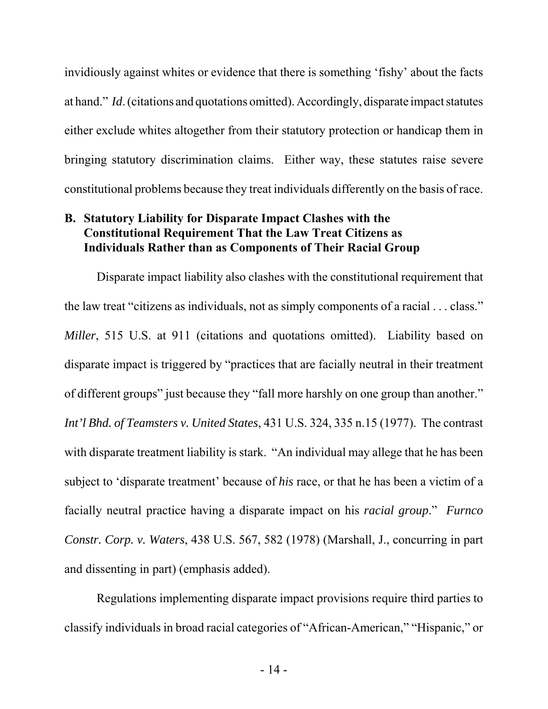invidiously against whites or evidence that there is something 'fishy' about the facts at hand." *Id*. (citations and quotations omitted). Accordingly, disparate impact statutes either exclude whites altogether from their statutory protection or handicap them in bringing statutory discrimination claims. Either way, these statutes raise severe constitutional problems because they treat individuals differently on the basis of race.

### **B. Statutory Liability for Disparate Impact Clashes with the Constitutional Requirement That the Law Treat Citizens as Individuals Rather than as Components of Their Racial Group**

Disparate impact liability also clashes with the constitutional requirement that the law treat "citizens as individuals, not as simply components of a racial . . . class." *Miller*, 515 U.S. at 911 (citations and quotations omitted). Liability based on disparate impact is triggered by "practices that are facially neutral in their treatment of different groups" just because they "fall more harshly on one group than another." *Int'l Bhd. of Teamsters v. United States*, 431 U.S. 324, 335 n.15 (1977). The contrast with disparate treatment liability is stark. "An individual may allege that he has been subject to 'disparate treatment' because of *his* race, or that he has been a victim of a facially neutral practice having a disparate impact on his *racial group*." *Furnco Constr. Corp. v. Waters*, 438 U.S. 567, 582 (1978) (Marshall, J., concurring in part and dissenting in part) (emphasis added).

Regulations implementing disparate impact provisions require third parties to classify individuals in broad racial categories of "African-American," "Hispanic," or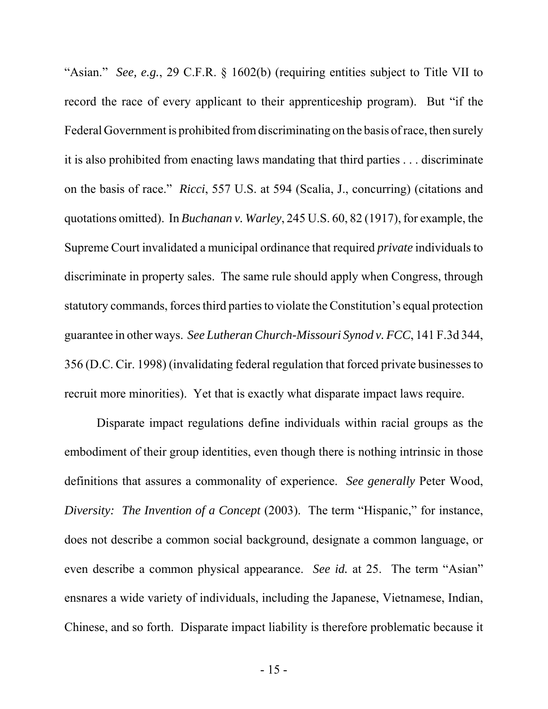"Asian." *See, e.g.*, 29 C.F.R. § 1602(b) (requiring entities subject to Title VII to record the race of every applicant to their apprenticeship program). But "if the Federal Government is prohibited from discriminating on the basis of race, then surely it is also prohibited from enacting laws mandating that third parties . . . discriminate on the basis of race." *Ricci*, 557 U.S. at 594 (Scalia, J., concurring) (citations and quotations omitted). In *Buchanan v. Warley*, 245 U.S. 60, 82 (1917), for example, the Supreme Court invalidated a municipal ordinance that required *private* individuals to discriminate in property sales. The same rule should apply when Congress, through statutory commands, forces third parties to violate the Constitution's equal protection guarantee in other ways. *See Lutheran Church-Missouri Synod v. FCC*, 141 F.3d 344, 356 (D.C. Cir. 1998) (invalidating federal regulation that forced private businesses to recruit more minorities). Yet that is exactly what disparate impact laws require.

Disparate impact regulations define individuals within racial groups as the embodiment of their group identities, even though there is nothing intrinsic in those definitions that assures a commonality of experience. *See generally* Peter Wood, *Diversity: The Invention of a Concept (2003).* The term "Hispanic," for instance, does not describe a common social background, designate a common language, or even describe a common physical appearance. *See id.* at 25. The term "Asian" ensnares a wide variety of individuals, including the Japanese, Vietnamese, Indian, Chinese, and so forth. Disparate impact liability is therefore problematic because it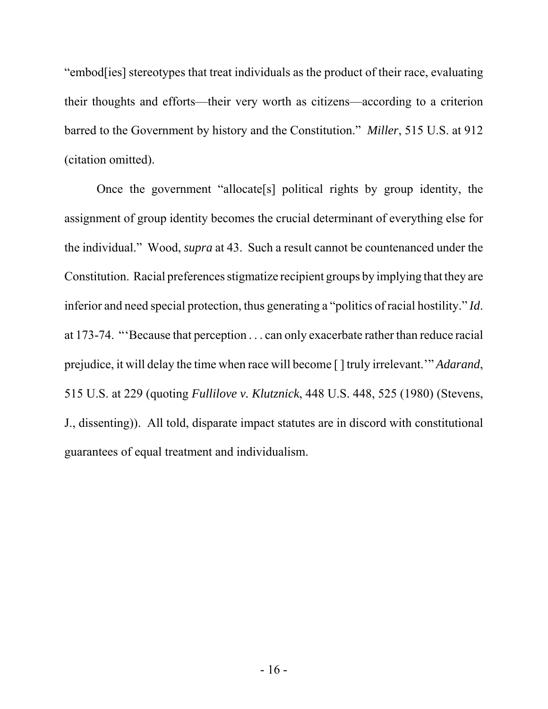"embod[ies] stereotypes that treat individuals as the product of their race, evaluating their thoughts and efforts—their very worth as citizens—according to a criterion barred to the Government by history and the Constitution." *Miller*, 515 U.S. at 912 (citation omitted).

Once the government "allocate[s] political rights by group identity, the assignment of group identity becomes the crucial determinant of everything else for the individual." Wood, *supra* at 43. Such a result cannot be countenanced under the Constitution. Racial preferences stigmatize recipient groups by implying that they are inferior and need special protection, thus generating a "politics of racial hostility." *Id*. at 173-74. "'Because that perception . . . can only exacerbate rather than reduce racial prejudice, it will delay the time when race will become [ ] truly irrelevant.'" *Adarand*, 515 U.S. at 229 (quoting *Fullilove v. Klutznick*, 448 U.S. 448, 525 (1980) (Stevens, J., dissenting)). All told, disparate impact statutes are in discord with constitutional guarantees of equal treatment and individualism.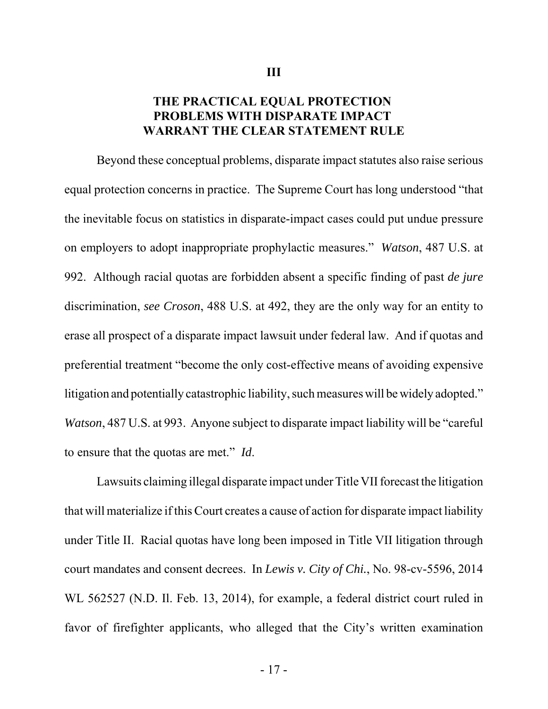### **THE PRACTICAL EQUAL PROTECTION PROBLEMS WITH DISPARATE IMPACT WARRANT THE CLEAR STATEMENT RULE**

Beyond these conceptual problems, disparate impact statutes also raise serious equal protection concerns in practice. The Supreme Court has long understood "that the inevitable focus on statistics in disparate-impact cases could put undue pressure on employers to adopt inappropriate prophylactic measures." *Watson*, 487 U.S. at 992. Although racial quotas are forbidden absent a specific finding of past *de jure* discrimination, *see Croson*, 488 U.S. at 492, they are the only way for an entity to erase all prospect of a disparate impact lawsuit under federal law. And if quotas and preferential treatment "become the only cost-effective means of avoiding expensive litigation and potentially catastrophic liability, such measures will be widely adopted." *Watson*, 487 U.S. at 993. Anyone subject to disparate impact liability will be "careful" to ensure that the quotas are met." *Id*.

Lawsuits claiming illegal disparate impact under Title VII forecast the litigation that will materialize if this Court creates a cause of action for disparate impact liability under Title II. Racial quotas have long been imposed in Title VII litigation through court mandates and consent decrees. In *Lewis v. City of Chi.*, No. 98-cv-5596, 2014 WL 562527 (N.D. Il. Feb. 13, 2014), for example, a federal district court ruled in favor of firefighter applicants, who alleged that the City's written examination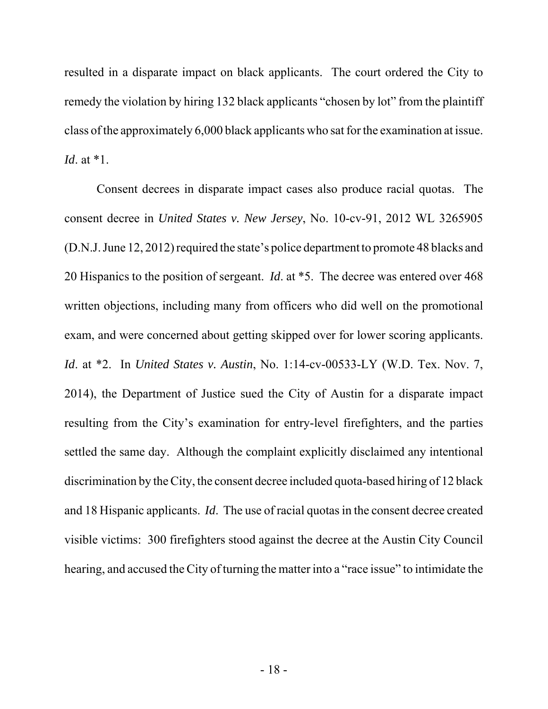resulted in a disparate impact on black applicants. The court ordered the City to remedy the violation by hiring 132 black applicants "chosen by lot" from the plaintiff class of the approximately 6,000 black applicants who sat for the examination at issue. *Id*. at \*1.

Consent decrees in disparate impact cases also produce racial quotas. The consent decree in *United States v. New Jersey*, No. 10-cv-91, 2012 WL 3265905 (D.N.J. June 12, 2012) required the state's police department to promote 48 blacks and 20 Hispanics to the position of sergeant. *Id*. at \*5. The decree was entered over 468 written objections, including many from officers who did well on the promotional exam, and were concerned about getting skipped over for lower scoring applicants. *Id*. at \*2. In *United States v. Austin*, No. 1:14-cv-00533-LY (W.D. Tex. Nov. 7, 2014), the Department of Justice sued the City of Austin for a disparate impact resulting from the City's examination for entry-level firefighters, and the parties settled the same day. Although the complaint explicitly disclaimed any intentional discrimination by the City, the consent decree included quota-based hiring of 12 black and 18 Hispanic applicants. *Id*. The use of racial quotas in the consent decree created visible victims: 300 firefighters stood against the decree at the Austin City Council hearing, and accused the City of turning the matter into a "race issue" to intimidate the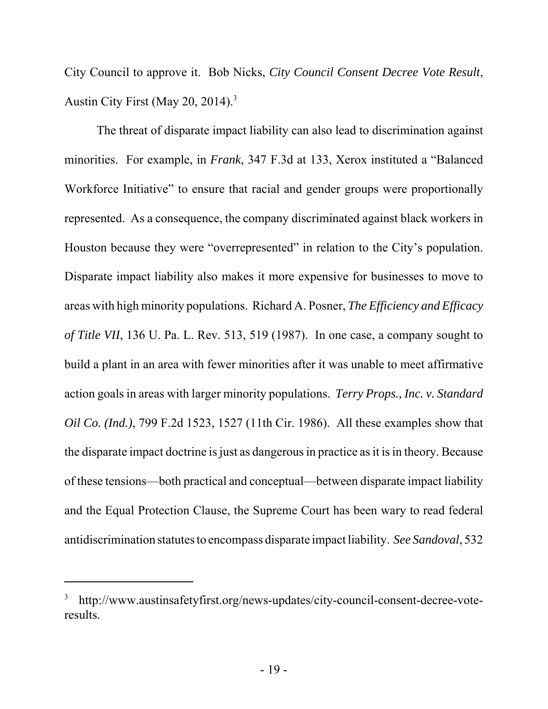City Council to approve it. Bob Nicks, *City Council Consent Decree Vote Result*, Austin City First (May 20, 2014).<sup>3</sup>

The threat of disparate impact liability can also lead to discrimination against minorities. For example, in *Frank*, 347 F.3d at 133, Xerox instituted a "Balanced Workforce Initiative" to ensure that racial and gender groups were proportionally represented. As a consequence, the company discriminated against black workers in Houston because they were "overrepresented" in relation to the City's population. Disparate impact liability also makes it more expensive for businesses to move to areas with high minority populations. Richard A. Posner, *The Efficiency and Efficacy of Title VII*, 136 U. Pa. L. Rev. 513, 519 (1987). In one case, a company sought to build a plant in an area with fewer minorities after it was unable to meet affirmative action goals in areas with larger minority populations. *Terry Props., Inc. v. Standard Oil Co. (Ind.)*, 799 F.2d 1523, 1527 (11th Cir. 1986). All these examples show that the disparate impact doctrine is just as dangerous in practice as it is in theory. Because of these tensions—both practical and conceptual—between disparate impact liability and the Equal Protection Clause, the Supreme Court has been wary to read federal antidiscrimination statutes to encompass disparate impact liability. *See Sandoval*, 532

<sup>3</sup> http://www.austinsafetyfirst.org/news-updates/city-council-consent-decree-voteresults.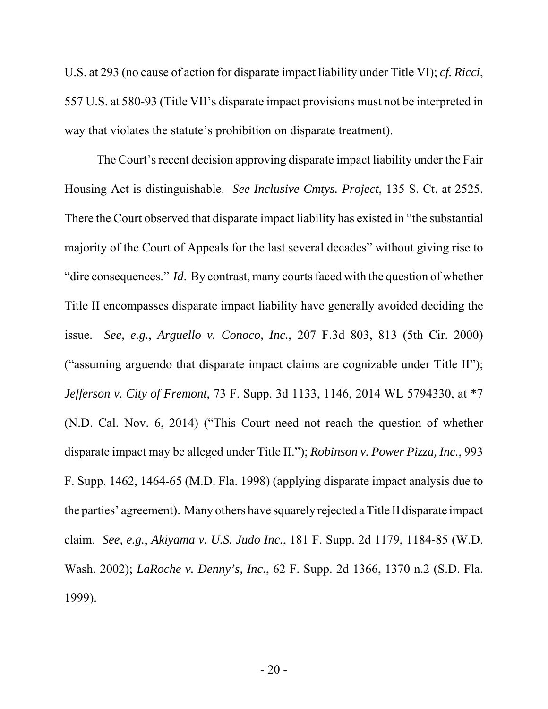U.S. at 293 (no cause of action for disparate impact liability under Title VI); *cf. Ricci*, 557 U.S. at 580-93 (Title VII's disparate impact provisions must not be interpreted in way that violates the statute's prohibition on disparate treatment).

The Court's recent decision approving disparate impact liability under the Fair Housing Act is distinguishable. *See Inclusive Cmtys. Project*, 135 S. Ct. at 2525. There the Court observed that disparate impact liability has existed in "the substantial majority of the Court of Appeals for the last several decades" without giving rise to "dire consequences." *Id*. By contrast, many courts faced with the question of whether Title II encompasses disparate impact liability have generally avoided deciding the issue. *See, e.g.*, *Arguello v. Conoco, Inc.*, 207 F.3d 803, 813 (5th Cir. 2000) ("assuming arguendo that disparate impact claims are cognizable under Title II"); *Jefferson v. City of Fremont*, 73 F. Supp. 3d 1133, 1146, 2014 WL 5794330, at \*7 (N.D. Cal. Nov. 6, 2014) ("This Court need not reach the question of whether disparate impact may be alleged under Title II."); *Robinson v. Power Pizza, Inc.*, 993 F. Supp. 1462, 1464-65 (M.D. Fla. 1998) (applying disparate impact analysis due to the parties' agreement). Many others have squarely rejected a Title II disparate impact claim. *See, e.g.*, *Akiyama v. U.S. Judo Inc.*, 181 F. Supp. 2d 1179, 1184-85 (W.D. Wash. 2002); *LaRoche v. Denny's, Inc.*, 62 F. Supp. 2d 1366, 1370 n.2 (S.D. Fla. 1999).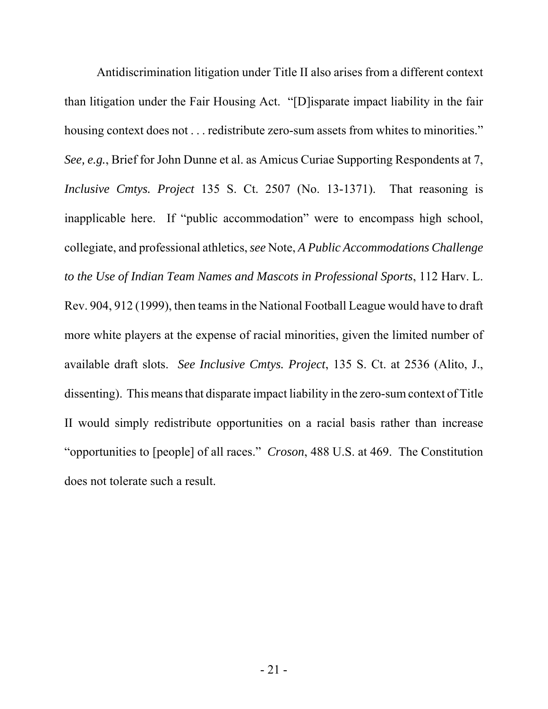Antidiscrimination litigation under Title II also arises from a different context than litigation under the Fair Housing Act. "[D]isparate impact liability in the fair housing context does not . . . redistribute zero-sum assets from whites to minorities." *See, e.g.*, Brief for John Dunne et al. as Amicus Curiae Supporting Respondents at 7, *Inclusive Cmtys. Project* 135 S. Ct. 2507 (No. 13-1371). That reasoning is inapplicable here. If "public accommodation" were to encompass high school, collegiate, and professional athletics, *see* Note, *A Public Accommodations Challenge to the Use of Indian Team Names and Mascots in Professional Sports*, 112 Harv. L. Rev. 904, 912 (1999), then teams in the National Football League would have to draft more white players at the expense of racial minorities, given the limited number of available draft slots. *See Inclusive Cmtys. Project*, 135 S. Ct. at 2536 (Alito, J., dissenting). This means that disparate impact liability in the zero-sum context of Title II would simply redistribute opportunities on a racial basis rather than increase "opportunities to [people] of all races." *Croson*, 488 U.S. at 469. The Constitution does not tolerate such a result.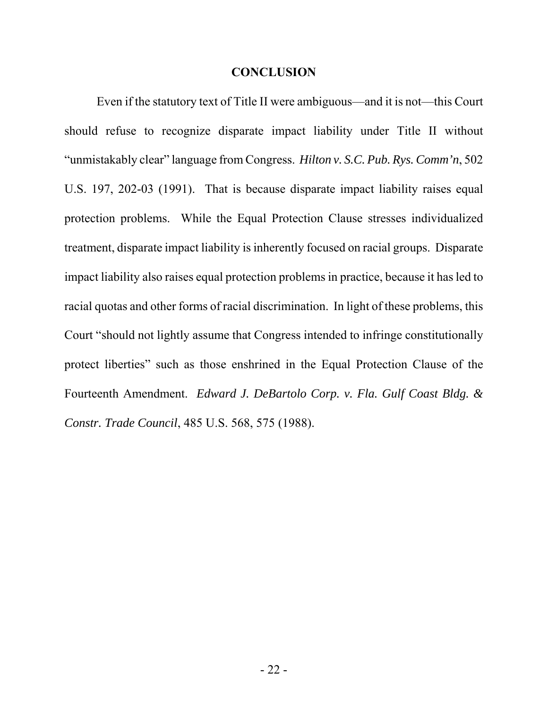#### **CONCLUSION**

Even if the statutory text of Title II were ambiguous—and it is not—this Court should refuse to recognize disparate impact liability under Title II without "unmistakably clear" language from Congress. *Hilton v. S.C. Pub. Rys. Comm'n*, 502 U.S. 197, 202-03 (1991). That is because disparate impact liability raises equal protection problems. While the Equal Protection Clause stresses individualized treatment, disparate impact liability is inherently focused on racial groups. Disparate impact liability also raises equal protection problems in practice, because it has led to racial quotas and other forms of racial discrimination. In light of these problems, this Court "should not lightly assume that Congress intended to infringe constitutionally protect liberties" such as those enshrined in the Equal Protection Clause of the Fourteenth Amendment. *Edward J. DeBartolo Corp. v. Fla. Gulf Coast Bldg. & Constr. Trade Council*, 485 U.S. 568, 575 (1988).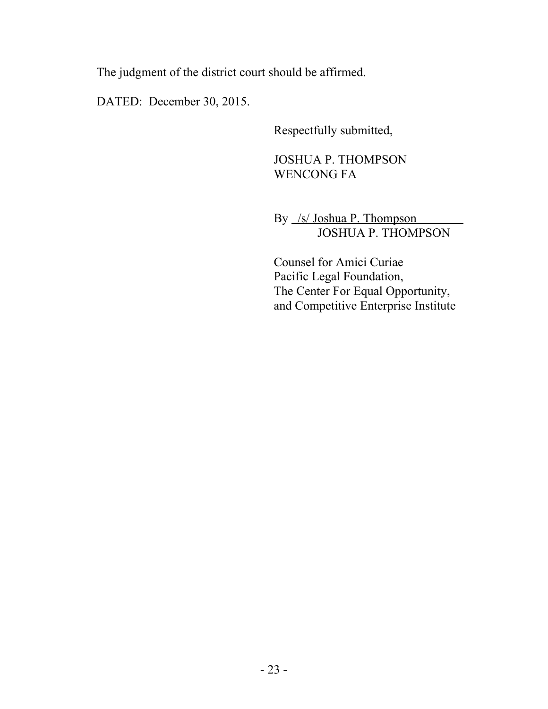The judgment of the district court should be affirmed.

DATED: December 30, 2015.

Respectfully submitted,

## JOSHUA P. THOMPSON WENCONG FA

By /s/ Joshua P. Thompson JOSHUA P. THOMPSON

Counsel for Amici Curiae Pacific Legal Foundation, The Center For Equal Opportunity, and Competitive Enterprise Institute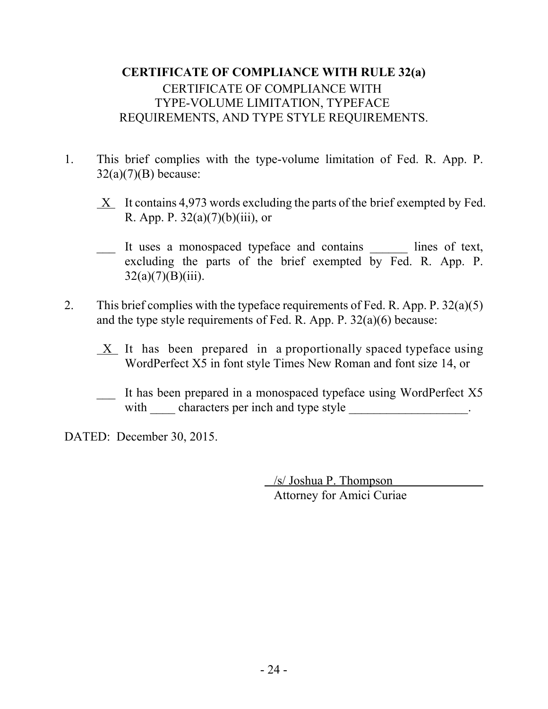## **CERTIFICATE OF COMPLIANCE WITH RULE 32(a)** CERTIFICATE OF COMPLIANCE WITH TYPE-VOLUME LIMITATION, TYPEFACE REQUIREMENTS, AND TYPE STYLE REQUIREMENTS.

- 1. This brief complies with the type-volume limitation of Fed. R. App. P.  $32(a)(7)(B)$  because:
	- $X$  It contains 4,973 words excluding the parts of the brief exempted by Fed. R. App. P.  $32(a)(7)(b)(iii)$ , or
	- \_\_\_ It uses a monospaced typeface and contains \_\_\_\_\_\_ lines of text, excluding the parts of the brief exempted by Fed. R. App. P.  $32(a)(7)(B)(iii)$ .
- 2. This brief complies with the typeface requirements of Fed. R. App. P.  $32(a)(5)$ and the type style requirements of Fed. R. App. P. 32(a)(6) because:
	- $X$  It has been prepared in a proportionally spaced typeface using WordPerfect X5 in font style Times New Roman and font size 14, or
	- \_\_\_ It has been prepared in a monospaced typeface using WordPerfect X5 with characters per inch and type style \_\_\_\_\_\_\_\_\_\_\_\_\_\_\_\_\_\_.

DATED: December 30, 2015.

 /s/ Joshua P. Thompson Attorney for Amici Curiae